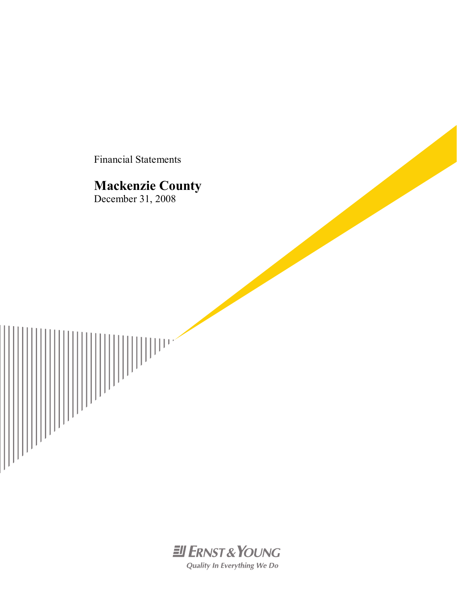Financial Statements

# **Mackenzie County**

 $\left\| \left| \left| \left| \left| \left| \right| \right| \right| \right| \right\|^2$ 

December 31, 2008



Quality In Everything We Do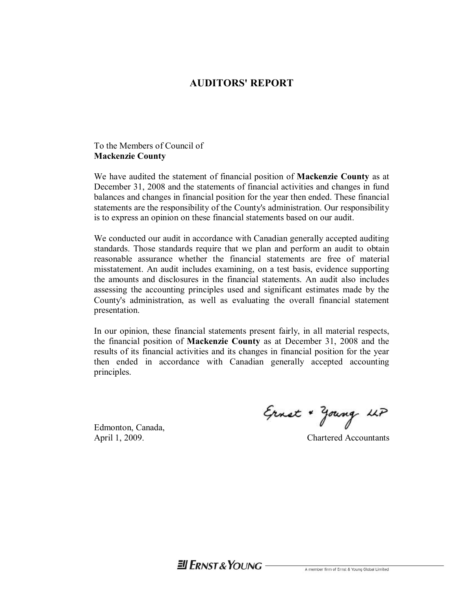## **AUDITORS' REPORT**

## To the Members of Council of **Mackenzie County**

We have audited the statement of financial position of **Mackenzie County** as at December 31, 2008 and the statements of financial activities and changes in fund balances and changes in financial position for the year then ended. These financial statements are the responsibility of the County's administration. Our responsibility is to express an opinion on these financial statements based on our audit.

We conducted our audit in accordance with Canadian generally accepted auditing standards. Those standards require that we plan and perform an audit to obtain reasonable assurance whether the financial statements are free of material misstatement. An audit includes examining, on a test basis, evidence supporting the amounts and disclosures in the financial statements. An audit also includes assessing the accounting principles used and significant estimates made by the County's administration, as well as evaluating the overall financial statement presentation.

In our opinion, these financial statements present fairly, in all material respects, the financial position of **Mackenzie County** as at December 31, 2008 and the results of its financial activities and its changes in financial position for the year then ended in accordance with Canadian generally accepted accounting principles.

Edmonton, Canada,

Ernst + young LLP

April 1, 2009. Chartered Accountants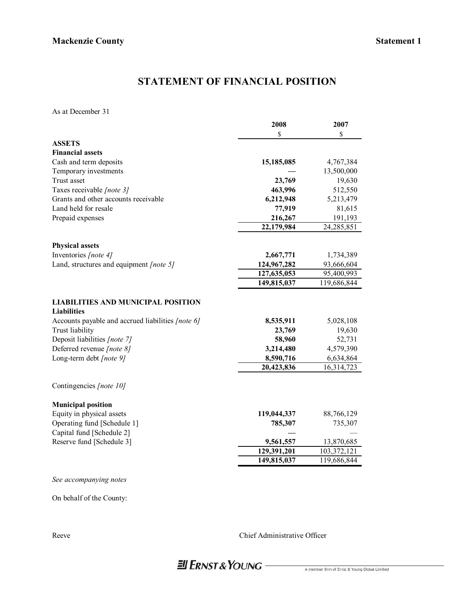# **STATEMENT OF FINANCIAL POSITION**

As at December 31

|                                                                 | 2008        | 2007         |
|-----------------------------------------------------------------|-------------|--------------|
|                                                                 | \$          | \$           |
| <b>ASSETS</b>                                                   |             |              |
| <b>Financial assets</b>                                         |             |              |
| Cash and term deposits                                          | 15,185,085  | 4,767,384    |
| Temporary investments                                           |             | 13,500,000   |
| Trust asset                                                     | 23,769      | 19,630       |
| Taxes receivable [note 3]                                       | 463,996     | 512,550      |
| Grants and other accounts receivable                            | 6,212,948   | 5,213,479    |
| Land held for resale                                            | 77,919      | 81,615       |
| Prepaid expenses                                                | 216,267     | 191,193      |
|                                                                 | 22,179,984  | 24, 285, 851 |
| <b>Physical assets</b>                                          |             |              |
| Inventories [note 4]                                            | 2,667,771   | 1,734,389    |
| Land, structures and equipment [note 5]                         | 124,967,282 | 93,666,604   |
|                                                                 | 127,635,053 | 95,400,993   |
|                                                                 | 149,815,037 | 119,686,844  |
| <b>LIABILITIES AND MUNICIPAL POSITION</b><br><b>Liabilities</b> |             |              |
| Accounts payable and accrued liabilities [note 6]               | 8,535,911   | 5,028,108    |
| Trust liability                                                 | 23,769      | 19,630       |
| Deposit liabilities [note 7]                                    | 58,960      | 52,731       |
| Deferred revenue [note 8]                                       | 3,214,480   | 4,579,390    |
| Long-term debt [note 9]                                         | 8,590,716   | 6,634,864    |
|                                                                 | 20,423,836  | 16,314,723   |
| Contingencies [note 10]                                         |             |              |
| <b>Municipal position</b>                                       |             |              |
| Equity in physical assets                                       | 119,044,337 | 88,766,129   |
| Operating fund [Schedule 1]                                     | 785,307     | 735,307      |
| Capital fund [Schedule 2]                                       |             |              |
| Reserve fund [Schedule 3]                                       | 9,561,557   | 13,870,685   |
|                                                                 | 129,391,201 | 103,372,121  |
|                                                                 | 149,815,037 | 119,686,844  |
| See accompanying notes                                          |             |              |

On behalf of the County:

Reeve Chief Administrative Officer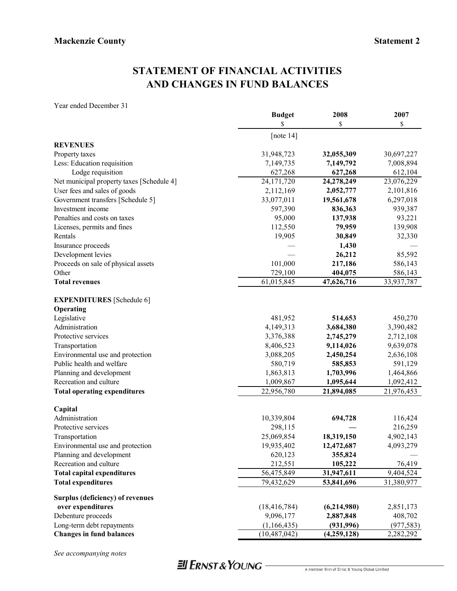# **STATEMENT OF FINANCIAL ACTIVITIES AND CHANGES IN FUND BALANCES**

Year ended December 31

|                                           | <b>Budget</b>           | 2008                     | 2007                   |
|-------------------------------------------|-------------------------|--------------------------|------------------------|
|                                           | \$                      | \$                       | \$                     |
|                                           | [note $14$ ]            |                          |                        |
| <b>REVENUES</b>                           |                         |                          |                        |
| Property taxes                            | 31,948,723              | 32,055,309               | 30,697,227             |
| Less: Education requisition               | 7,149,735               | 7,149,792                | 7,008,894              |
| Lodge requisition                         | 627,268                 | 627,268                  | 612,104                |
| Net municipal property taxes [Schedule 4] | 24,171,720              | 24,278,249               | 23,076,229             |
| User fees and sales of goods              | 2,112,169               | 2,052,777                | 2,101,816              |
| Government transfers [Schedule 5]         | 33,077,011              | 19,561,678               | 6,297,018              |
| Investment income                         | 597,390                 | 836,363                  | 939,387                |
| Penalties and costs on taxes              | 95,000                  | 137,938                  | 93,221                 |
| Licenses, permits and fines               | 112,550                 | 79,959                   | 139,908                |
| Rentals                                   | 19,905                  | 30,849                   | 32,330                 |
| Insurance proceeds                        |                         | 1,430                    |                        |
| Development levies                        |                         | 26,212                   | 85,592                 |
| Proceeds on sale of physical assets       | 101,000                 | 217,186                  | 586,143                |
| Other                                     | 729,100                 | 404,075                  | 586,143                |
| <b>Total revenues</b>                     | $\overline{61,}015,845$ | 47,626,716               | 33,937,787             |
| <b>EXPENDITURES</b> [Schedule 6]          |                         |                          |                        |
| Operating                                 |                         |                          |                        |
| Legislative                               | 481,952                 | 514,653                  | 450,270                |
| Administration                            | 4,149,313               | 3,684,380                | 3,390,482              |
| Protective services                       | 3,376,388               | 2,745,279                | 2,712,108              |
| Transportation                            | 8,406,523               | 9,114,026                | 9,639,078              |
| Environmental use and protection          | 3,088,205               | 2,450,254                | 2,636,108              |
| Public health and welfare                 | 580,719                 | 585,853                  | 591,129                |
| Planning and development                  | 1,863,813               | 1,703,996                | 1,464,866              |
| Recreation and culture                    | 1,009,867               | 1,095,644                | 1,092,412              |
| <b>Total operating expenditures</b>       | 22,956,780              | 21,894,085               | 21,976,453             |
| Capital                                   |                         |                          |                        |
| Administration                            | 10,339,804              | 694,728                  | 116,424                |
| Protective services                       | 298,115                 |                          | 216,259                |
| Transportation                            | 25,069,854              | 18,319,150               | 4,902,143              |
| Environmental use and protection          | 19,935,402              | 12,472,687               | 4,093,279              |
| Planning and development                  | 620,123                 | 355,824                  |                        |
| Recreation and culture                    | 212,551                 | 105,222                  | 76,419                 |
| <b>Total capital expenditures</b>         | 56,475,849              | 31,947,611               | $\overline{9,}404,524$ |
| <b>Total expenditures</b>                 | 79,432,629              | 53,841,696               | 31,380,977             |
| <b>Surplus (deficiency) of revenues</b>   |                         |                          |                        |
| over expenditures                         | (18, 416, 784)          | (6,214,980)              | 2,851,173              |
| Debenture proceeds                        | 9,096,177               | 2,887,848                | 408,702                |
| Long-term debt repayments                 | (1,166,435)             | (931, 996)               | (977, 583)             |
| <b>Changes in fund balances</b>           | (10, 487, 042)          | $\overline{(4,259,128)}$ | 2,282,292              |

*See accompanying notes*

# **JI ERNST & YOUNG-**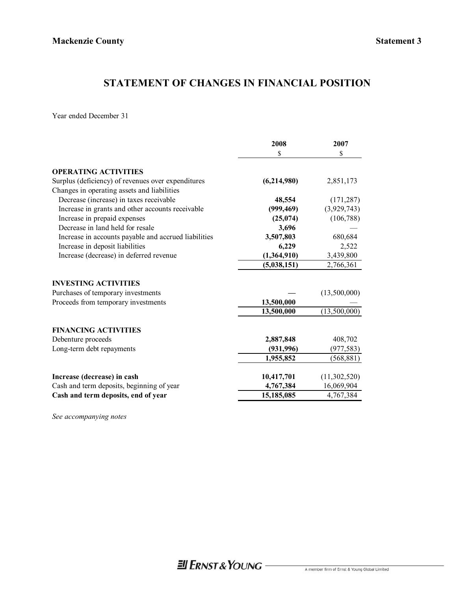# **STATEMENT OF CHANGES IN FINANCIAL POSITION**

Year ended December 31

|                                                      | 2008        | 2007         |
|------------------------------------------------------|-------------|--------------|
|                                                      | \$          | \$           |
| <b>OPERATING ACTIVITIES</b>                          |             |              |
| Surplus (deficiency) of revenues over expenditures   | (6,214,980) | 2,851,173    |
| Changes in operating assets and liabilities          |             |              |
| Decrease (increase) in taxes receivable              | 48,554      | (171, 287)   |
| Increase in grants and other accounts receivable     | (999, 469)  | (3,929,743)  |
| Increase in prepaid expenses                         | (25,074)    | (106, 788)   |
| Decrease in land held for resale                     | 3,696       |              |
| Increase in accounts payable and accrued liabilities | 3,507,803   | 680,684      |
| Increase in deposit liabilities                      | 6,229       | 2,522        |
| Increase (decrease) in deferred revenue              | (1,364,910) | 3,439,800    |
|                                                      | (5,038,151) | 2,766,361    |
| <b>INVESTING ACTIVITIES</b>                          |             |              |
| Purchases of temporary investments                   |             | (13,500,000) |
| Proceeds from temporary investments                  | 13,500,000  |              |
|                                                      | 13,500,000  | (13,500,000) |
| <b>FINANCING ACTIVITIES</b>                          |             |              |
| Debenture proceeds                                   | 2,887,848   | 408,702      |
| Long-term debt repayments                            | (931, 996)  | (977, 583)   |
|                                                      | 1,955,852   | (568, 881)   |
| Increase (decrease) in cash                          | 10,417,701  | (11,302,520) |
| Cash and term deposits, beginning of year            | 4,767,384   | 16,069,904   |
| Cash and term deposits, end of year                  | 15,185,085  | 4,767,384    |
|                                                      |             |              |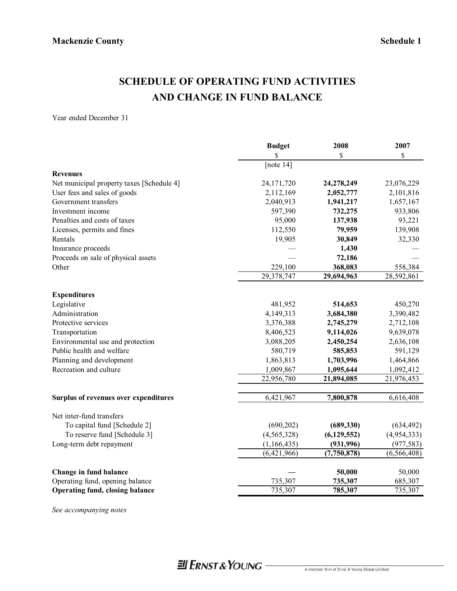# **SCHEDULE OF OPERATING FUND ACTIVITIES AND CHANGE IN FUND BALANCE**

Year ended December 31

|                                           | <b>Budget</b><br>\$     | 2008<br>\$    | 2007<br>\$    |
|-------------------------------------------|-------------------------|---------------|---------------|
|                                           | [note $14$ ]            |               |               |
| <b>Revenues</b>                           |                         |               |               |
| Net municipal property taxes [Schedule 4] | 24, 171, 720            | 24,278,249    | 23,076,229    |
| User fees and sales of goods              | 2,112,169               | 2,052,777     | 2,101,816     |
| Government transfers                      | 2,040,913               | 1,941,217     | 1,657,167     |
| Investment income                         | 597,390                 | 732,275       | 933,806       |
| Penalties and costs of taxes              | 95,000                  | 137,938       | 93,221        |
| Licenses, permits and fines               | 112,550                 | 79,959        | 139,908       |
| Rentals                                   | 19,905                  | 30,849        | 32,330        |
| Insurance proceeds                        |                         | 1,430         |               |
| Proceeds on sale of physical assets       |                         | 72,186        |               |
| Other                                     | 229,100                 | 368,083       | 558,384       |
|                                           | $\overline{29,378,747}$ | 29,694,963    | 28,592,861    |
| <b>Expenditures</b>                       |                         |               |               |
| Legislative                               | 481,952                 | 514,653       | 450,270       |
| Administration                            | 4,149,313               | 3,684,380     | 3,390,482     |
| Protective services                       | 3,376,388               | 2,745,279     | 2,712,108     |
| Transportation                            | 8,406,523               | 9,114,026     | 9,639,078     |
| Environmental use and protection          | 3,088,205               | 2,450,254     | 2,636,108     |
| Public health and welfare                 | 580,719                 | 585,853       | 591,129       |
| Planning and development                  | 1,863,813               | 1,703,996     | 1,464,866     |
| Recreation and culture                    | 1,009,867               | 1,095,644     | 1,092,412     |
|                                           | 22,956,780              | 21,894,085    | 21,976,453    |
| Surplus of revenues over expenditures     | 6,421,967               | 7,800,878     | 6,616,408     |
|                                           |                         |               |               |
| Net inter-fund transfers                  |                         |               |               |
| To capital fund [Schedule 2]              | (690, 202)              | (689, 330)    | (634, 492)    |
| To reserve fund [Schedule 3]              | (4, 565, 328)           | (6, 129, 552) | (4,954,333)   |
| Long-term debt repayment                  | (1, 166, 435)           | (931, 996)    | (977, 583)    |
|                                           | (6,421,966)             | (7,750,878)   | (6, 566, 408) |
| Change in fund balance                    |                         | 50,000        | 50,000        |
| Operating fund, opening balance           | 735,307                 | 735,307       | 685,307       |
| <b>Operating fund, closing balance</b>    | 735,307                 | 785,307       | 735,307       |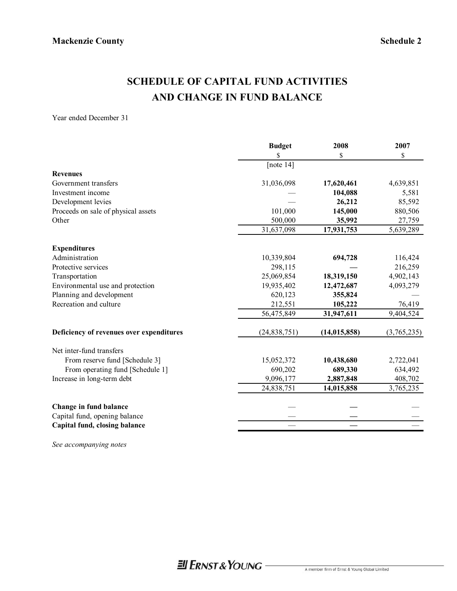# **SCHEDULE OF CAPITAL FUND ACTIVITIES AND CHANGE IN FUND BALANCE**

Year ended December 31

|                                          | <b>Budget</b>  | 2008           | 2007        |
|------------------------------------------|----------------|----------------|-------------|
|                                          | \$             | \$             | \$          |
|                                          | [note $14$ ]   |                |             |
| <b>Revenues</b>                          |                |                |             |
| Government transfers                     | 31,036,098     | 17,620,461     | 4,639,851   |
| Investment income                        |                | 104,088        | 5,581       |
| Development levies                       |                | 26,212         | 85,592      |
| Proceeds on sale of physical assets      | 101,000        | 145,000        | 880,506     |
| Other                                    | 500,000        | 35,992         | 27,759      |
|                                          | 31,637,098     | 17,931,753     | 5,639,289   |
| <b>Expenditures</b>                      |                |                |             |
| Administration                           | 10,339,804     | 694,728        | 116,424     |
| Protective services                      | 298,115        |                | 216,259     |
| Transportation                           | 25,069,854     | 18,319,150     | 4,902,143   |
| Environmental use and protection         | 19,935,402     | 12,472,687     | 4,093,279   |
| Planning and development                 | 620,123        | 355,824        |             |
| Recreation and culture                   | 212,551        | 105,222        | 76,419      |
|                                          | 56,475,849     | 31,947,611     | 9,404,524   |
| Deficiency of revenues over expenditures | (24, 838, 751) | (14, 015, 858) | (3,765,235) |
| Net inter-fund transfers                 |                |                |             |
| From reserve fund [Schedule 3]           | 15,052,372     | 10,438,680     | 2,722,041   |
| From operating fund [Schedule 1]         | 690,202        | 689,330        | 634,492     |
| Increase in long-term debt               | 9,096,177      | 2,887,848      | 408,702     |
|                                          | 24,838,751     | 14,015,858     | 3,765,235   |
| Change in fund balance                   |                |                |             |
| Capital fund, opening balance            |                |                |             |
| Capital fund, closing balance            |                |                |             |
|                                          |                |                |             |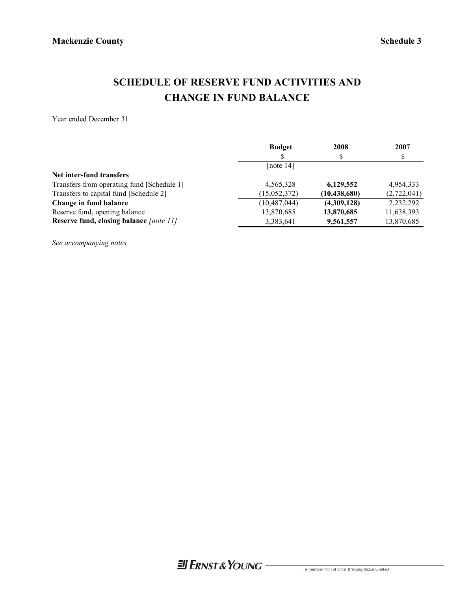# **SCHEDULE OF RESERVE FUND ACTIVITIES AND CHANGE IN FUND BALANCE**

Year ended December 31

|                                            | <b>Budget</b>  | 2008           | 2007        |
|--------------------------------------------|----------------|----------------|-------------|
|                                            |                | S              |             |
|                                            | [note $14$ ]   |                |             |
| Net inter-fund transfers                   |                |                |             |
| Transfers from operating fund [Schedule 1] | 4,565,328      | 6,129,552      | 4,954,333   |
| Transfers to capital fund [Schedule 2]     | (15, 052, 372) | (10, 438, 680) | (2,722,041) |
| Change in fund balance                     | (10, 487, 044) | (4,309,128)    | 2,232,292   |
| Reserve fund, opening balance              | 13,870,685     | 13,870,685     | 11,638,393  |
| Reserve fund, closing balance [note 11]    | 3,383,641      | 9,561,557      | 13,870,685  |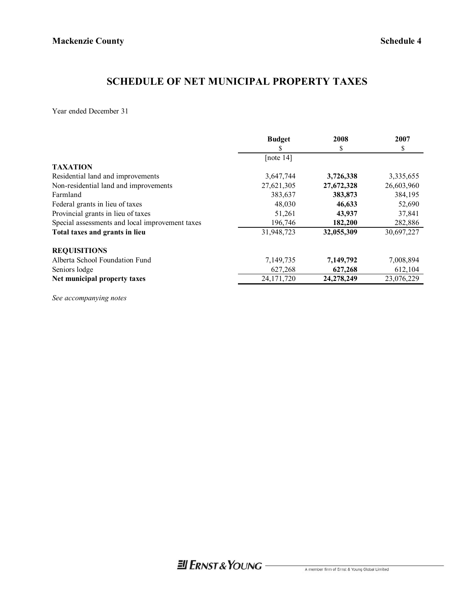# **SCHEDULE OF NET MUNICIPAL PROPERTY TAXES**

Year ended December 31

|                                                 | <b>Budget</b> | 2008       | 2007       |
|-------------------------------------------------|---------------|------------|------------|
|                                                 | S             | \$         | \$         |
|                                                 | [note $14$ ]  |            |            |
| <b>TAXATION</b>                                 |               |            |            |
| Residential land and improvements               | 3,647,744     | 3,726,338  | 3,335,655  |
| Non-residential land and improvements           | 27,621,305    | 27,672,328 | 26,603,960 |
| Farmland                                        | 383,637       | 383,873    | 384,195    |
| Federal grants in lieu of taxes                 | 48,030        | 46,633     | 52,690     |
| Provincial grants in lieu of taxes              | 51,261        | 43,937     | 37,841     |
| Special assessments and local improvement taxes | 196,746       | 182,200    | 282,886    |
| Total taxes and grants in lieu                  | 31,948,723    | 32,055,309 | 30,697,227 |
| <b>REQUISITIONS</b>                             |               |            |            |
| Alberta School Foundation Fund                  | 7,149,735     | 7,149,792  | 7,008,894  |
| Seniors lodge                                   | 627,268       | 627,268    | 612,104    |
| Net municipal property taxes                    | 24, 171, 720  | 24,278,249 | 23,076,229 |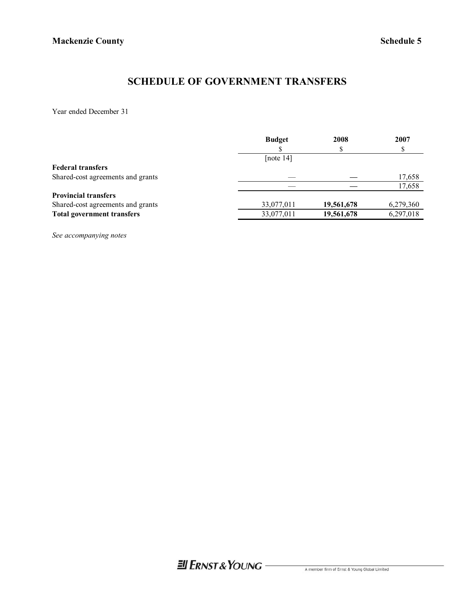# **SCHEDULE OF GOVERNMENT TRANSFERS**

Year ended December 31

|                                   | <b>Budget</b> | 2008       | 2007      |
|-----------------------------------|---------------|------------|-----------|
|                                   |               |            |           |
|                                   | [note $14$ ]  |            |           |
| <b>Federal transfers</b>          |               |            |           |
| Shared-cost agreements and grants |               |            | 17,658    |
|                                   |               |            | 17,658    |
| <b>Provincial transfers</b>       |               |            |           |
| Shared-cost agreements and grants | 33,077,011    | 19,561,678 | 6,279,360 |
| <b>Total government transfers</b> | 33,077,011    | 19,561,678 | 6,297,018 |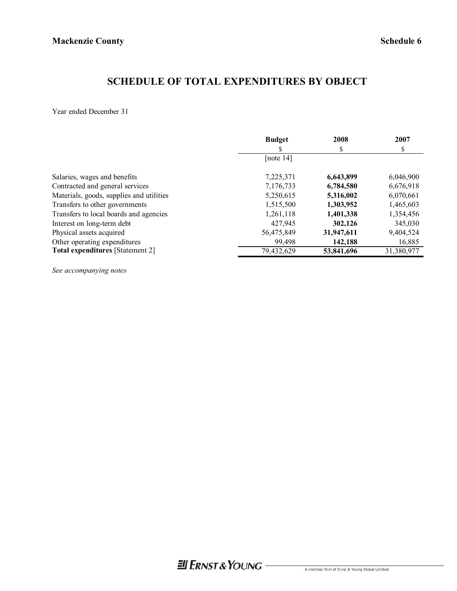# **SCHEDULE OF TOTAL EXPENDITURES BY OBJECT**

Year ended December 31

|                                          | <b>Budget</b> | 2008       | 2007       |
|------------------------------------------|---------------|------------|------------|
|                                          |               | \$         | S          |
|                                          | [note $14$ ]  |            |            |
| Salaries, wages and benefits             | 7,225,371     | 6,643,899  | 6,046,900  |
| Contracted and general services          | 7,176,733     | 6,784,580  | 6,676,918  |
| Materials, goods, supplies and utilities | 5,250,615     | 5,316,002  | 6,070,661  |
| Transfers to other governments           | 1,515,500     | 1,303,952  | 1,465,603  |
| Transfers to local boards and agencies   | 1,261,118     | 1,401,338  | 1,354,456  |
| Interest on long-term debt               | 427,945       | 302,126    | 345,030    |
| Physical assets acquired                 | 56,475,849    | 31,947,611 | 9,404,524  |
| Other operating expenditures             | 99,498        | 142,188    | 16,885     |
| <b>Total expenditures</b> [Statement 2]  | 79,432,629    | 53,841,696 | 31,380,977 |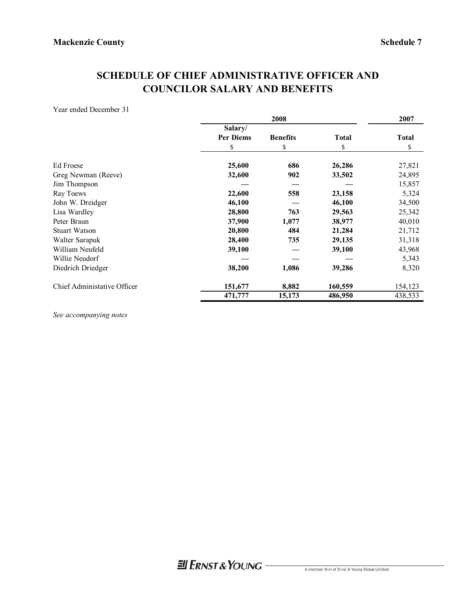# **SCHEDULE OF CHIEF ADMINISTRATIVE OFFICER AND COUNCILOR SALARY AND BENEFITS**

Year ended December 31

|                             | 2008                        |                 |              | 2007         |
|-----------------------------|-----------------------------|-----------------|--------------|--------------|
|                             | Salary/<br><b>Per Diems</b> | <b>Benefits</b> | <b>Total</b> | <b>Total</b> |
|                             | \$                          | \$              | \$           | \$           |
| Ed Froese                   | 25,600                      | 686             | 26,286       | 27,821       |
| Greg Newman (Reeve)         | 32,600                      | 902             | 33,502       | 24,895       |
| Jim Thompson                |                             |                 |              | 15,857       |
| Ray Toews                   | 22,600                      | 558             | 23,158       | 5,324        |
| John W. Dreidger            | 46,100                      |                 | 46,100       | 34,500       |
| Lisa Wardley                | 28,800                      | 763             | 29,563       | 25,342       |
| Peter Braun                 | 37,900                      | 1,077           | 38,977       | 40,010       |
| <b>Stuart Watson</b>        | 20,800                      | 484             | 21,284       | 21,712       |
| Walter Sarapuk              | 28,400                      | 735             | 29,135       | 31,318       |
| William Neufeld             | 39,100                      |                 | 39,100       | 43,968       |
| Willie Neudorf              |                             |                 |              | 5,343        |
| Diedrich Driedger           | 38,200                      | 1,086           | 39,286       | 8,320        |
| Chief Administative Officer | 151,677                     | 8,882           | 160,559      | 154,123      |
|                             | 471,777                     | 15,173          | 486,950      | 438,533      |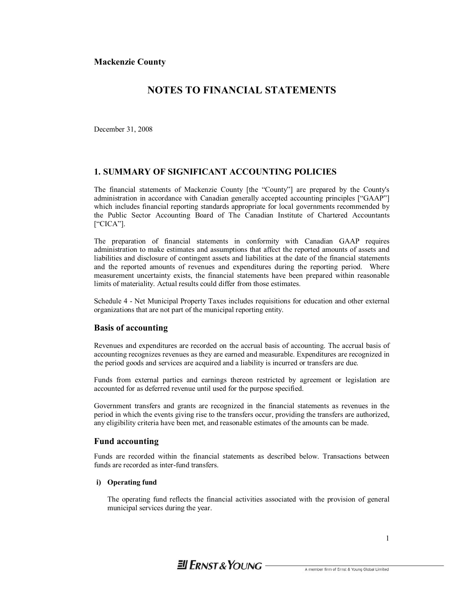## **NOTES TO FINANCIAL STATEMENTS**

December 31, 2008

#### **1. SUMMARY OF SIGNIFICANT ACCOUNTING POLICIES**

The financial statements of Mackenzie County [the "County"] are prepared by the County's administration in accordance with Canadian generally accepted accounting principles ["GAAP"] which includes financial reporting standards appropriate for local governments recommended by the Public Sector Accounting Board of The Canadian Institute of Chartered Accountants ["CICA"].

The preparation of financial statements in conformity with Canadian GAAP requires administration to make estimates and assumptions that affect the reported amounts of assets and liabilities and disclosure of contingent assets and liabilities at the date of the financial statements and the reported amounts of revenues and expenditures during the reporting period. Where measurement uncertainty exists, the financial statements have been prepared within reasonable limits of materiality. Actual results could differ from those estimates.

Schedule 4 - Net Municipal Property Taxes includes requisitions for education and other external organizations that are not part of the municipal reporting entity.

### **Basis of accounting**

Revenues and expenditures are recorded on the accrual basis of accounting. The accrual basis of accounting recognizes revenues as they are earned and measurable. Expenditures are recognized in the period goods and services are acquired and a liability is incurred or transfers are due.

Funds from external parties and earnings thereon restricted by agreement or legislation are accounted for as deferred revenue until used for the purpose specified.

Government transfers and grants are recognized in the financial statements as revenues in the period in which the events giving rise to the transfers occur, providing the transfers are authorized, any eligibility criteria have been met, and reasonable estimates of the amounts can be made.

#### **Fund accounting**

Funds are recorded within the financial statements as described below. Transactions between funds are recorded as inter-fund transfers.

#### **i) Operating fund**

The operating fund reflects the financial activities associated with the provision of general municipal services during the year.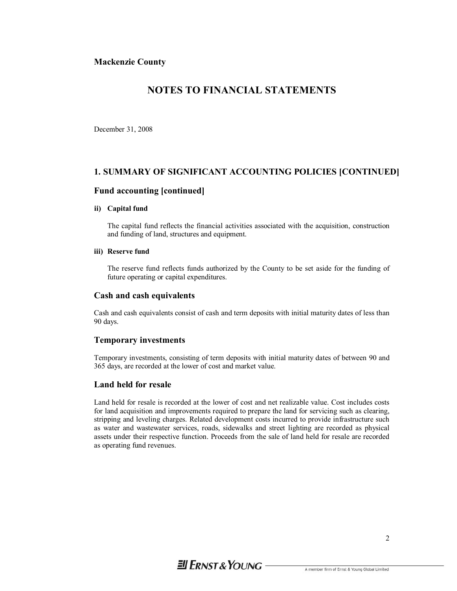## **NOTES TO FINANCIAL STATEMENTS**

December 31, 2008

### **1. SUMMARY OF SIGNIFICANT ACCOUNTING POLICIES [CONTINUED]**

#### **Fund accounting [continued]**

#### **ii) Capital fund**

The capital fund reflects the financial activities associated with the acquisition, construction and funding of land, structures and equipment.

#### **iii) Reserve fund**

The reserve fund reflects funds authorized by the County to be set aside for the funding of future operating or capital expenditures.

#### **Cash and cash equivalents**

Cash and cash equivalents consist of cash and term deposits with initial maturity dates of less than 90 days.

#### **Temporary investments**

Temporary investments, consisting of term deposits with initial maturity dates of between 90 and 365 days, are recorded at the lower of cost and market value.

#### **Land held for resale**

Land held for resale is recorded at the lower of cost and net realizable value. Cost includes costs for land acquisition and improvements required to prepare the land for servicing such as clearing, stripping and leveling charges. Related development costs incurred to provide infrastructure such as water and wastewater services, roads, sidewalks and street lighting are recorded as physical assets under their respective function. Proceeds from the sale of land held for resale are recorded as operating fund revenues.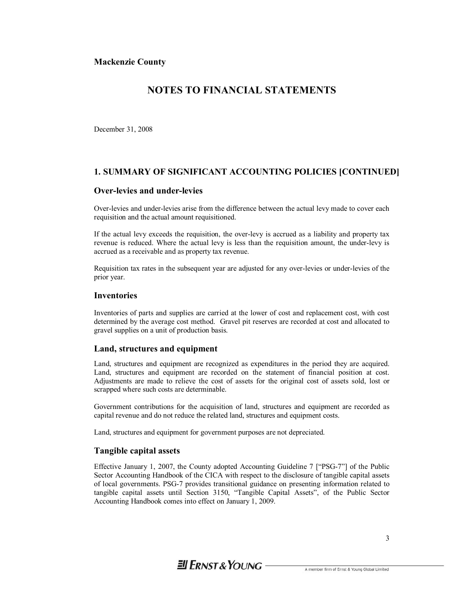## **NOTES TO FINANCIAL STATEMENTS**

December 31, 2008

### **1. SUMMARY OF SIGNIFICANT ACCOUNTING POLICIES [CONTINUED]**

#### **Over-levies and under-levies**

Over-levies and under-levies arise from the difference between the actual levy made to cover each requisition and the actual amount requisitioned.

If the actual levy exceeds the requisition, the over-levy is accrued as a liability and property tax revenue is reduced. Where the actual levy is less than the requisition amount, the under-levy is accrued as a receivable and as property tax revenue.

Requisition tax rates in the subsequent year are adjusted for any over-levies or under-levies of the prior year.

#### **Inventories**

Inventories of parts and supplies are carried at the lower of cost and replacement cost, with cost determined by the average cost method. Gravel pit reserves are recorded at cost and allocated to gravel supplies on a unit of production basis.

#### **Land, structures and equipment**

Land, structures and equipment are recognized as expenditures in the period they are acquired. Land, structures and equipment are recorded on the statement of financial position at cost. Adjustments are made to relieve the cost of assets for the original cost of assets sold, lost or scrapped where such costs are determinable.

Government contributions for the acquisition of land, structures and equipment are recorded as capital revenue and do not reduce the related land, structures and equipment costs.

Land, structures and equipment for government purposes are not depreciated.

#### **Tangible capital assets**

Effective January 1, 2007, the County adopted Accounting Guideline 7 ["PSG-7"] of the Public Sector Accounting Handbook of the CICA with respect to the disclosure of tangible capital assets of local governments. PSG-7 provides transitional guidance on presenting information related to tangible capital assets until Section 3150, "Tangible Capital Assets", of the Public Sector Accounting Handbook comes into effect on January 1, 2009.

# $\equiv$  FRNST & YOUNG  $-$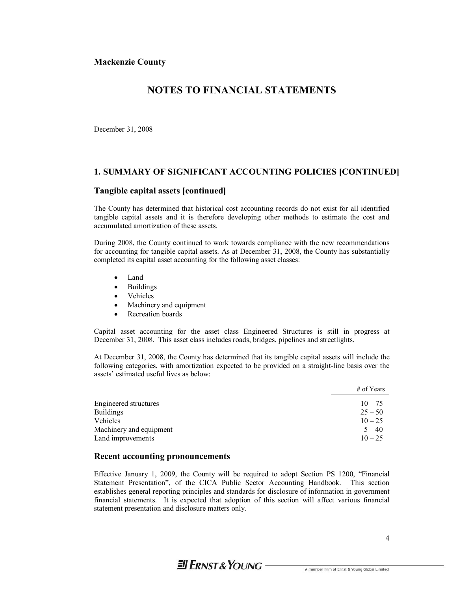## **NOTES TO FINANCIAL STATEMENTS**

December 31, 2008

#### **1. SUMMARY OF SIGNIFICANT ACCOUNTING POLICIES [CONTINUED]**

#### **Tangible capital assets [continued]**

The County has determined that historical cost accounting records do not exist for all identified tangible capital assets and it is therefore developing other methods to estimate the cost and accumulated amortization of these assets.

During 2008, the County continued to work towards compliance with the new recommendations for accounting for tangible capital assets. As at December 31, 2008, the County has substantially completed its capital asset accounting for the following asset classes:

- · Land
- · Buildings
- · Vehicles
- Machinery and equipment
- Recreation boards

Capital asset accounting for the asset class Engineered Structures is still in progress at December 31, 2008. This asset class includes roads, bridges, pipelines and streetlights.

At December 31, 2008, the County has determined that its tangible capital assets will include the following categories, with amortization expected to be provided on a straight-line basis over the assets' estimated useful lives as below:

|                         | $#$ of Years |
|-------------------------|--------------|
| Engineered structures   | $10 - 75$    |
| <b>Buildings</b>        | $25 - 50$    |
| Vehicles                | $10 - 25$    |
| Machinery and equipment | $5 - 40$     |
| Land improvements       | $10 - 25$    |

#### **Recent accounting pronouncements**

Effective January 1, 2009, the County will be required to adopt Section PS 1200, "Financial Statement Presentation", of the CICA Public Sector Accounting Handbook. This section establishes general reporting principles and standards for disclosure of information in government financial statements. It is expected that adoption of this section will affect various financial statement presentation and disclosure matters only.

# $\equiv$  FRNST & YOUNG  $-$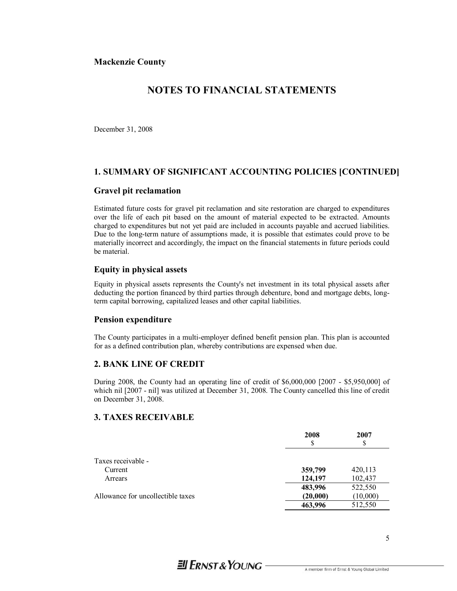## **NOTES TO FINANCIAL STATEMENTS**

December 31, 2008

### **1. SUMMARY OF SIGNIFICANT ACCOUNTING POLICIES [CONTINUED]**

#### **Gravel pit reclamation**

Estimated future costs for gravel pit reclamation and site restoration are charged to expenditures over the life of each pit based on the amount of material expected to be extracted. Amounts charged to expenditures but not yet paid are included in accounts payable and accrued liabilities. Due to the long-term nature of assumptions made, it is possible that estimates could prove to be materially incorrect and accordingly, the impact on the financial statements in future periods could be material.

#### **Equity in physical assets**

Equity in physical assets represents the County's net investment in its total physical assets after deducting the portion financed by third parties through debenture, bond and mortgage debts, longterm capital borrowing, capitalized leases and other capital liabilities.

#### **Pension expenditure**

The County participates in a multi-employer defined benefit pension plan. This plan is accounted for as a defined contribution plan, whereby contributions are expensed when due.

#### **2. BANK LINE OF CREDIT**

During 2008, the County had an operating line of credit of \$6,000,000 [2007 - \$5,950,000] of which nil [2007 - nil] was utilized at December 31, 2008. The County cancelled this line of credit on December 31, 2008.

## **3. TAXES RECEIVABLE**

|                                   | 2008<br>S | 2007<br>S |
|-----------------------------------|-----------|-----------|
| Taxes receivable -                |           |           |
| Current                           | 359,799   | 420,113   |
| Arrears                           | 124,197   | 102,437   |
|                                   | 483,996   | 522,550   |
| Allowance for uncollectible taxes | (20,000)  | (10,000)  |
|                                   | 463,996   | 512,550   |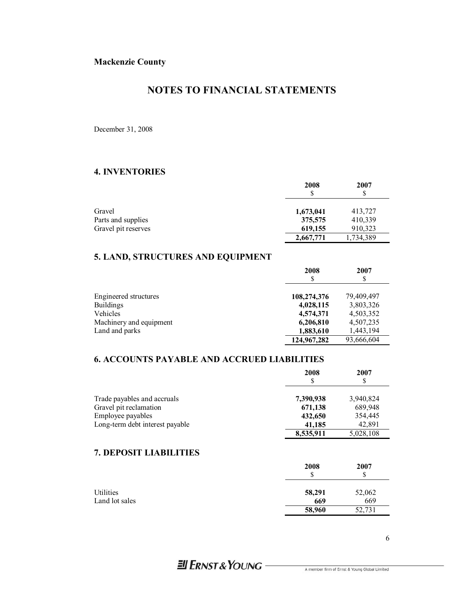## **NOTES TO FINANCIAL STATEMENTS**

December 31, 2008

## **4. INVENTORIES**

|                     | 2008      | 2007      |
|---------------------|-----------|-----------|
| Gravel              | 1,673,041 | 413,727   |
| Parts and supplies  | 375,575   | 410,339   |
| Gravel pit reserves | 619,155   | 910,323   |
|                     | 2,667,771 | 1,734,389 |

## **5. LAND, STRUCTURES AND EQUIPMENT**

|                         | 2008        | 2007<br>S  |
|-------------------------|-------------|------------|
|                         |             |            |
| Engineered structures   | 108,274,376 | 79,409,497 |
| <b>Buildings</b>        | 4,028,115   | 3,803,326  |
| Vehicles                | 4,574,371   | 4,503,352  |
| Machinery and equipment | 6,206,810   | 4,507,235  |
| Land and parks          | 1,883,610   | 1,443,194  |
|                         | 124,967,282 | 93,666,604 |

## **6. ACCOUNTS PAYABLE AND ACCRUED LIABILITIES**

|                                 | 2008      | 2007<br>\$ |
|---------------------------------|-----------|------------|
| Trade payables and accruals     | 7,390,938 | 3,940,824  |
| Gravel pit reclamation          | 671,138   | 689,948    |
| Employee payables               | 432,650   | 354,445    |
| Long-term debt interest payable | 41,185    | 42,891     |
|                                 | 8,535,911 | 5,028,108  |

## **7. DEPOSIT LIABILITIES**

|                | 2008   | 2007<br>S |
|----------------|--------|-----------|
| Utilities      | 58,291 | 52,062    |
| Land lot sales | 669    | 669       |
|                | 58,960 | 52,731    |

# **El ERNST & YOUNG**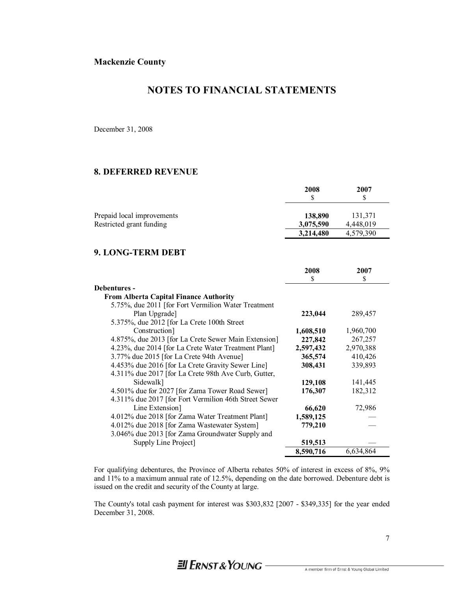## **NOTES TO FINANCIAL STATEMENTS**

December 31, 2008

#### **8. DEFERRED REVENUE**

|                                                        | 2008<br>S            | 2007                 |
|--------------------------------------------------------|----------------------|----------------------|
| Prepaid local improvements<br>Restricted grant funding | 138,890<br>3,075,590 | 131,371<br>4.448.019 |
|                                                        | 3,214,480            | 4,579,390            |

### **9. LONG-TERM DEBT**

|                                                       | 2008      | 2007      |
|-------------------------------------------------------|-----------|-----------|
|                                                       | S         | \$        |
| Debentures -                                          |           |           |
| <b>From Alberta Capital Finance Authority</b>         |           |           |
| 5.75%, due 2011 [for Fort Vermilion Water Treatment   |           |           |
| Plan Upgrade]                                         | 223,044   | 289,457   |
| 5.375%, due 2012 [for La Crete 100th Street]          |           |           |
| Construction]                                         | 1,608,510 | 1,960,700 |
| 4.875%, due 2013 [for La Crete Sewer Main Extension]  | 227,842   | 267,257   |
| 4.23%, due 2014 [for La Crete Water Treatment Plant]  | 2,597,432 | 2,970,388 |
| 3.77% due 2015 [for La Crete 94th Avenue]             | 365,574   | 410,426   |
| 4.453% due 2016 [for La Crete Gravity Sewer Line]     | 308,431   | 339,893   |
| 4.311% due 2017 [for La Crete 98th Ave Curb, Gutter,  |           |           |
| Sidewalk]                                             | 129,108   | 141,445   |
| 4.501% due for 2027 [for Zama Tower Road Sewer]       | 176,307   | 182,312   |
| 4.311% due 2017 [for Fort Vermilion 46th Street Sewer |           |           |
| Line Extension                                        | 66,620    | 72,986    |
| 4.012% due 2018 [for Zama Water Treatment Plant]      | 1,589,125 |           |
| 4.012% due 2018 [for Zama Wastewater System]          | 779,210   |           |
| 3.046% due 2013 [for Zama Groundwater Supply and      |           |           |
| Supply Line Project]                                  | 519,513   |           |
|                                                       | 8,590,716 | 6,634,864 |

For qualifying debentures, the Province of Alberta rebates 50% of interest in excess of 8%, 9% and 11% to a maximum annual rate of 12.5%, depending on the date borrowed. Debenture debt is issued on the credit and security of the County at large.

The County's total cash payment for interest was \$303,832 [2007 - \$349,335] for the year ended December 31, 2008.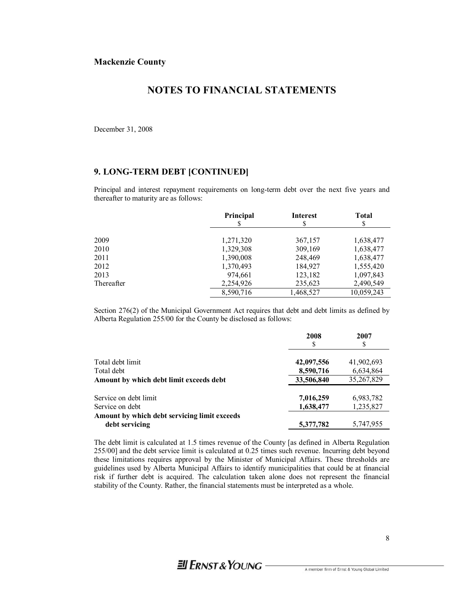## **NOTES TO FINANCIAL STATEMENTS**

December 31, 2008

### **9. LONG-TERM DEBT [CONTINUED]**

Principal and interest repayment requirements on long-term debt over the next five years and thereafter to maturity are as follows:

|            | Principal | <b>Interest</b> | <b>Total</b><br>\$ |
|------------|-----------|-----------------|--------------------|
| 2009       | 1,271,320 | 367,157         | 1,638,477          |
| 2010       | 1,329,308 | 309,169         | 1,638,477          |
| 2011       | 1,390,008 | 248,469         | 1,638,477          |
| 2012       | 1,370,493 | 184,927         | 1,555,420          |
| 2013       | 974,661   | 123,182         | 1,097,843          |
| Thereafter | 2,254,926 | 235,623         | 2,490,549          |
|            | 8,590,716 | 1,468,527       | 10,059,243         |

Section 276(2) of the Municipal Government Act requires that debt and debt limits as defined by Alberta Regulation 255/00 for the County be disclosed as follows:

|                                              | 2008<br>S  | 2007<br>S  |
|----------------------------------------------|------------|------------|
| Total debt limit                             | 42,097,556 | 41,902,693 |
| Total debt                                   | 8,590,716  | 6,634,864  |
| Amount by which debt limit exceeds debt      | 33,506,840 | 35,267,829 |
| Service on debt limit                        | 7,016,259  | 6,983,782  |
| Service on debt                              | 1,638,477  | 1,235,827  |
| Amount by which debt servicing limit exceeds |            |            |
| debt servicing                               | 5,377,782  | 5,747,955  |

The debt limit is calculated at 1.5 times revenue of the County [as defined in Alberta Regulation 255/00] and the debt service limit is calculated at 0.25 times such revenue. Incurring debt beyond these limitations requires approval by the Minister of Municipal Affairs. These thresholds are guidelines used by Alberta Municipal Affairs to identify municipalities that could be at financial risk if further debt is acquired. The calculation taken alone does not represent the financial stability of the County. Rather, the financial statements must be interpreted as a whole.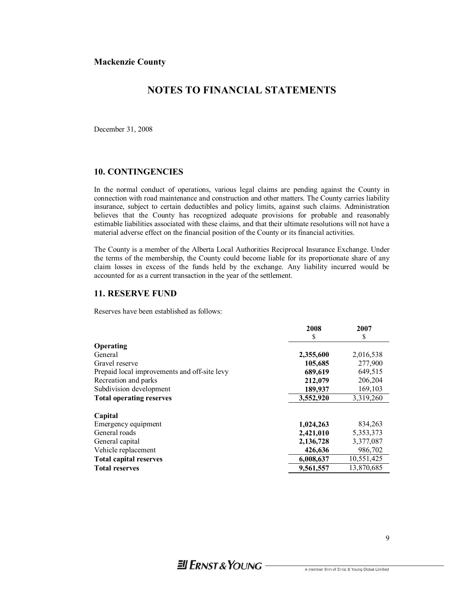## **NOTES TO FINANCIAL STATEMENTS**

December 31, 2008

### **10. CONTINGENCIES**

In the normal conduct of operations, various legal claims are pending against the County in connection with road maintenance and construction and other matters. The County carries liability insurance, subject to certain deductibles and policy limits, against such claims. Administration believes that the County has recognized adequate provisions for probable and reasonably estimable liabilities associated with these claims, and that their ultimate resolutions will not have a material adverse effect on the financial position of the County or its financial activities.

The County is a member of the Alberta Local Authorities Reciprocal Insurance Exchange. Under the terms of the membership, the County could become liable for its proportionate share of any claim losses in excess of the funds held by the exchange. Any liability incurred would be accounted for as a current transaction in the year of the settlement.

#### **11. RESERVE FUND**

Reserves have been established as follows:

|                                              | 2008      | 2007       |
|----------------------------------------------|-----------|------------|
|                                              | S         | S          |
| Operating                                    |           |            |
| General                                      | 2,355,600 | 2,016,538  |
| Gravel reserve                               | 105,685   | 277,900    |
| Prepaid local improvements and off-site levy | 689,619   | 649,515    |
| Recreation and parks                         | 212,079   | 206,204    |
| Subdivision development                      | 189,937   | 169,103    |
| <b>Total operating reserves</b>              | 3,552,920 | 3,319,260  |
| Capital                                      |           |            |
| Emergency equipment                          | 1,024,263 | 834,263    |
| General roads                                | 2,421,010 | 5,353,373  |
| General capital                              | 2,136,728 | 3,377,087  |
| Vehicle replacement                          | 426,636   | 986,702    |
| <b>Total capital reserves</b>                | 6,008,637 | 10,551,425 |
| <b>Total reserves</b>                        | 9,561,557 | 13,870,685 |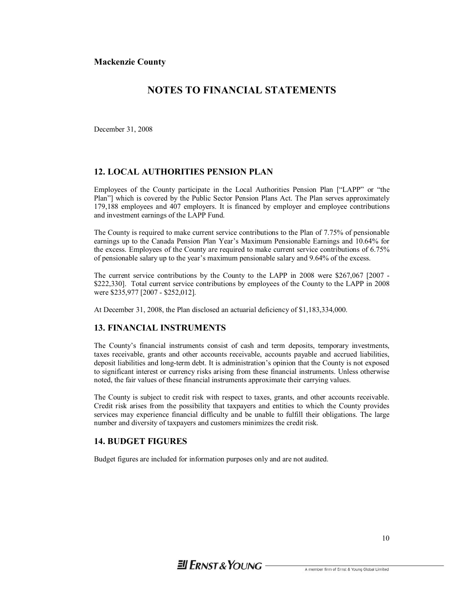## **NOTES TO FINANCIAL STATEMENTS**

December 31, 2008

### **12. LOCAL AUTHORITIES PENSION PLAN**

Employees of the County participate in the Local Authorities Pension Plan ["LAPP" or "the Plan"] which is covered by the Public Sector Pension Plans Act. The Plan serves approximately 179,188 employees and 407 employers. It is financed by employer and employee contributions and investment earnings of the LAPP Fund.

The County is required to make current service contributions to the Plan of 7.75% of pensionable earnings up to the Canada Pension Plan Year's Maximum Pensionable Earnings and 10.64% for the excess. Employees of the County are required to make current service contributions of 6.75% of pensionable salary up to the year's maximum pensionable salary and 9.64% of the excess.

The current service contributions by the County to the LAPP in 2008 were \$267,067 [2007 - \$222,330]. Total current service contributions by employees of the County to the LAPP in 2008 were \$235,977 [2007 - \$252,012].

At December 31, 2008, the Plan disclosed an actuarial deficiency of \$1,183,334,000.

#### **13. FINANCIAL INSTRUMENTS**

The County's financial instruments consist of cash and term deposits, temporary investments, taxes receivable, grants and other accounts receivable, accounts payable and accrued liabilities, deposit liabilities and long-term debt. It is administration's opinion that the County is not exposed to significant interest or currency risks arising from these financial instruments. Unless otherwise noted, the fair values of these financial instruments approximate their carrying values.

The County is subject to credit risk with respect to taxes, grants, and other accounts receivable. Credit risk arises from the possibility that taxpayers and entities to which the County provides services may experience financial difficulty and be unable to fulfill their obligations. The large number and diversity of taxpayers and customers minimizes the credit risk.

### **14. BUDGET FIGURES**

Budget figures are included for information purposes only and are not audited.

# $\equiv$  FRNST & YOUNG -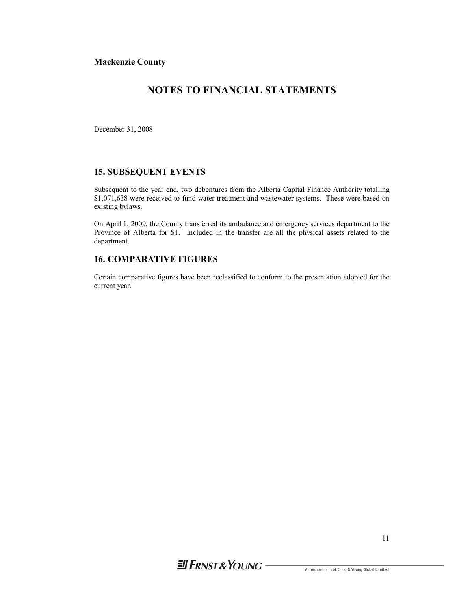## **NOTES TO FINANCIAL STATEMENTS**

December 31, 2008

### **15. SUBSEQUENT EVENTS**

Subsequent to the year end, two debentures from the Alberta Capital Finance Authority totalling \$1,071,638 were received to fund water treatment and wastewater systems. These were based on existing bylaws.

On April 1, 2009, the County transferred its ambulance and emergency services department to the Province of Alberta for \$1. Included in the transfer are all the physical assets related to the department.

### **16. COMPARATIVE FIGURES**

Certain comparative figures have been reclassified to conform to the presentation adopted for the current year.